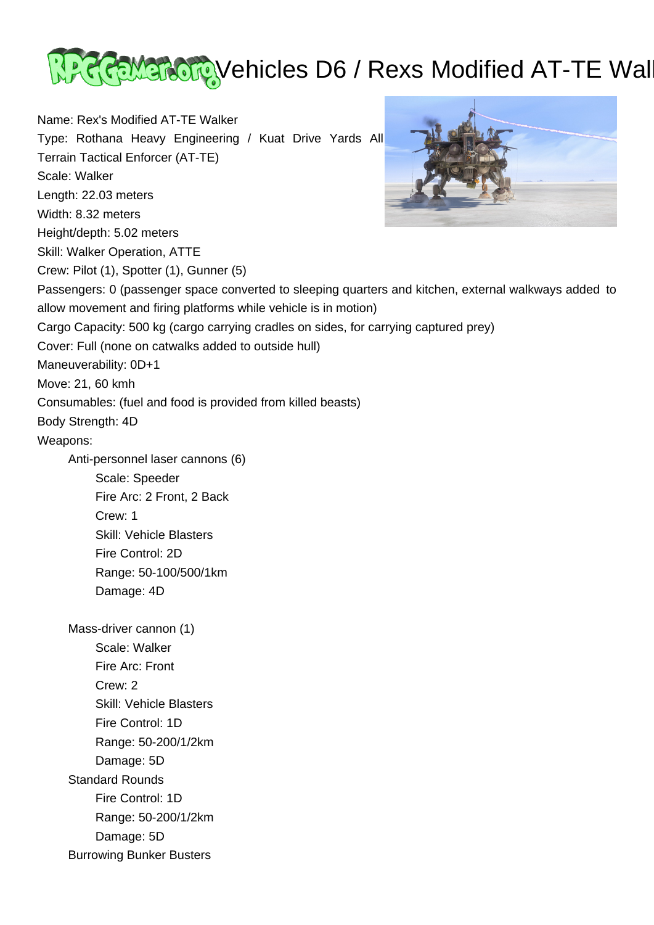

Name: Rex's Modified AT-TE Walker Type: Rothana Heavy Engineering / Kuat Drive Yards All Terrain Tactical Enforcer (AT-TE) Scale: Walker Length: 22.03 meters Width: 8.32 meters Height/depth: 5.02 meters Skill: Walker Operation, ATTE Crew: Pilot (1), Spotter (1), Gunner (5) Passengers: 0 (passenger space converted to sleeping quarters and kitchen, external walkways added to allow movement and firing platforms while vehicle is in motion) Cargo Capacity: 500 kg (cargo carrying cradles on sides, for carrying captured prey) Cover: Full (none on catwalks added to outside hull) Maneuverability: 0D+1 Move: 21, 60 kmh Consumables: (fuel and food is provided from killed beasts) Body Strength: 4D Weapons: Anti-personnel laser cannons (6) Scale: Speeder Fire Arc: 2 Front, 2 Back Crew: 1 Skill: Vehicle Blasters Fire Control: 2D Range: 50-100/500/1km Damage: 4D Mass-driver cannon (1) Scale: Walker Fire Arc: Front Crew: 2 Skill: Vehicle Blasters Fire Control: 1D Range: 50-200/1/2km Damage: 5D Standard Rounds Fire Control: 1D Range: 50-200/1/2km Damage: 5D Burrowing Bunker Busters